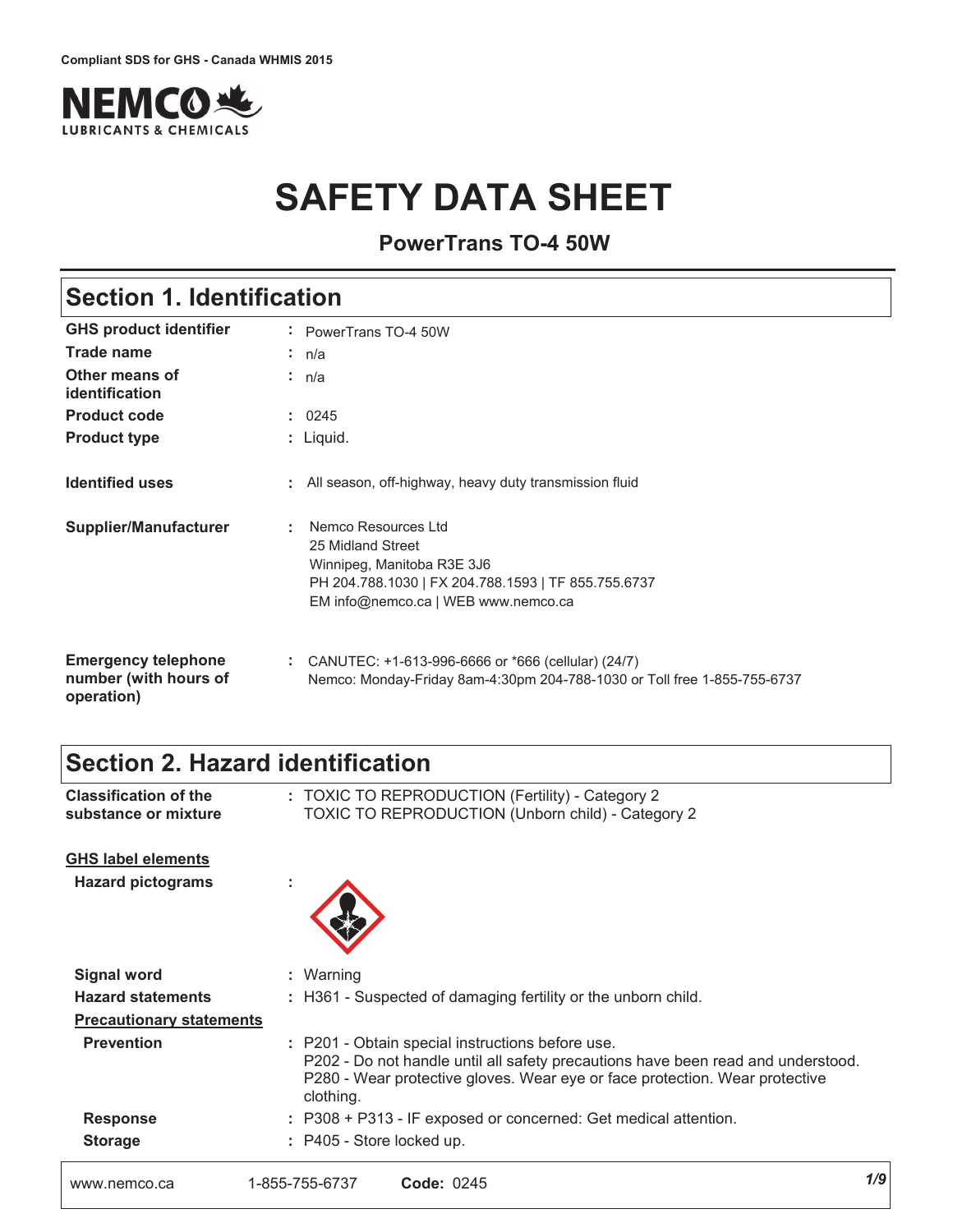

# **SAFETY DATA SHEET**

**PowerTrans TO-4 50W**

# **Section 1. Identification**

| <b>GHS product identifier</b>                                     | : PowerTrans TO-4 50W                                                                                                                                                      |
|-------------------------------------------------------------------|----------------------------------------------------------------------------------------------------------------------------------------------------------------------------|
| Trade name                                                        | : n/a                                                                                                                                                                      |
| Other means of<br>identification                                  | : n/a                                                                                                                                                                      |
| <b>Product code</b>                                               | : 0245                                                                                                                                                                     |
| <b>Product type</b>                                               | : Liquid.                                                                                                                                                                  |
| <b>Identified uses</b>                                            | : All season, off-highway, heavy duty transmission fluid                                                                                                                   |
| <b>Supplier/Manufacturer</b>                                      | Nemco Resources Ltd<br>÷.<br>25 Midland Street<br>Winnipeg, Manitoba R3E 3J6<br>PH 204.788.1030   FX 204.788.1593   TF 855.755.6737<br>EM info@nemco.ca   WEB www.nemco.ca |
| <b>Emergency telephone</b><br>number (with hours of<br>operation) | : CANUTEC: $+1-613-996-6666$ or $*666$ (cellular) (24/7)<br>Nemco: Monday-Friday 8am-4:30pm 204-788-1030 or Toll free 1-855-755-6737                                       |

### **Section 2. Hazard identification**

| www.nemco.ca                                          | Code: 0245<br>1-855-755-6737                                                                                                                                                                                                     | 1/9 |
|-------------------------------------------------------|----------------------------------------------------------------------------------------------------------------------------------------------------------------------------------------------------------------------------------|-----|
| <b>Storage</b>                                        | : P405 - Store locked up.                                                                                                                                                                                                        |     |
| <b>Response</b>                                       | : P308 + P313 - IF exposed or concerned: Get medical attention.                                                                                                                                                                  |     |
| <b>Prevention</b>                                     | : P201 - Obtain special instructions before use.<br>P202 - Do not handle until all safety precautions have been read and understood.<br>P280 - Wear protective gloves. Wear eye or face protection. Wear protective<br>clothing. |     |
| <b>Precautionary statements</b>                       |                                                                                                                                                                                                                                  |     |
| <b>Hazard statements</b>                              | : H361 - Suspected of damaging fertility or the unborn child.                                                                                                                                                                    |     |
| <b>Signal word</b>                                    | : Warning                                                                                                                                                                                                                        |     |
| <b>GHS label elements</b><br><b>Hazard pictograms</b> | ×.                                                                                                                                                                                                                               |     |
| <b>Classification of the</b><br>substance or mixture  | : TOXIC TO REPRODUCTION (Fertility) - Category 2<br><b>TOXIC TO REPRODUCTION (Unborn child) - Category 2</b>                                                                                                                     |     |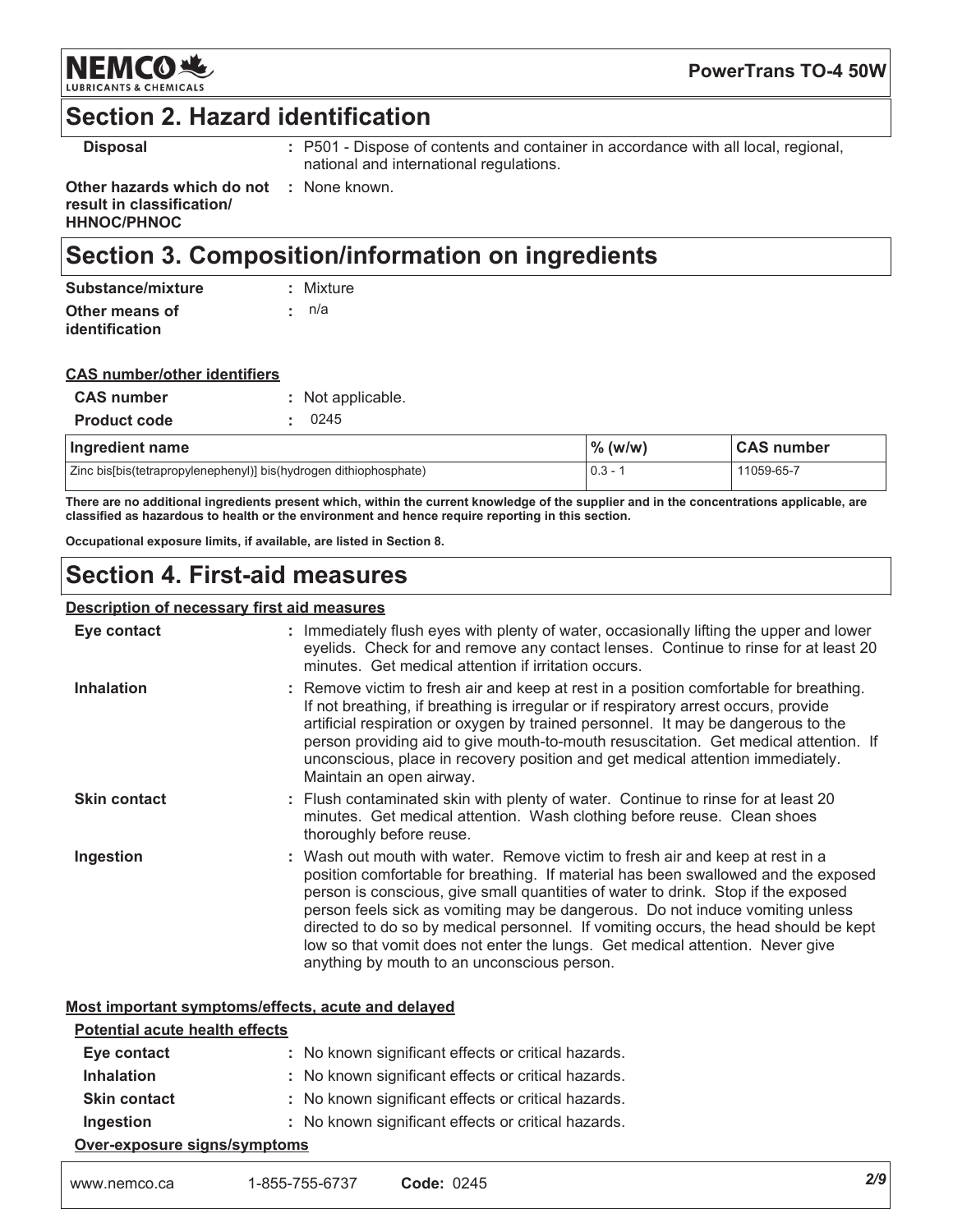

### **Section 2. Hazard identification**

**Disposal** 

: P501 - Dispose of contents and container in accordance with all local, regional, national and international regulations.

Other hazards which do not : None known. result in classification/ **HHNOC/PHNOC** 

# Section 3. Composition/information on ingredients

| Substance/mixture | : Mixture   |
|-------------------|-------------|
| Other means of    | $\cdot$ n/a |
| identification    |             |

| <b>CAS number/other identifiers</b> |  |
|-------------------------------------|--|
|                                     |  |

| <b>CAS number</b>   | : Not applicable.                                                 |                     |                   |
|---------------------|-------------------------------------------------------------------|---------------------|-------------------|
| <b>Product code</b> | 0245                                                              |                     |                   |
| Ingredient name     |                                                                   | $\frac{9}{6}$ (w/w) | <b>CAS number</b> |
|                     | Zinc bis[bis(tetrapropylenephenyl)] bis(hydrogen dithiophosphate) | $ 0.3 - 1$          | 11059-65-7        |

There are no additional ingredients present which, within the current knowledge of the supplier and in the concentrations applicable, are classified as hazardous to health or the environment and hence require reporting in this section.

Occupational exposure limits, if available, are listed in Section 8.

# **Section 4. First-aid measures**

#### Description of necessary first aid measures

| Eye contact         | : Immediately flush eyes with plenty of water, occasionally lifting the upper and lower<br>eyelids. Check for and remove any contact lenses. Continue to rinse for at least 20<br>minutes. Get medical attention if irritation occurs.                                                                                                                                                                                                                                                                                                                           |
|---------------------|------------------------------------------------------------------------------------------------------------------------------------------------------------------------------------------------------------------------------------------------------------------------------------------------------------------------------------------------------------------------------------------------------------------------------------------------------------------------------------------------------------------------------------------------------------------|
| <b>Inhalation</b>   | : Remove victim to fresh air and keep at rest in a position comfortable for breathing.<br>If not breathing, if breathing is irregular or if respiratory arrest occurs, provide<br>artificial respiration or oxygen by trained personnel. It may be dangerous to the<br>person providing aid to give mouth-to-mouth resuscitation. Get medical attention. If<br>unconscious, place in recovery position and get medical attention immediately.<br>Maintain an open airway.                                                                                        |
| <b>Skin contact</b> | : Flush contaminated skin with plenty of water. Continue to rinse for at least 20<br>minutes. Get medical attention. Wash clothing before reuse. Clean shoes<br>thoroughly before reuse.                                                                                                                                                                                                                                                                                                                                                                         |
| Ingestion           | : Wash out mouth with water. Remove victim to fresh air and keep at rest in a<br>position comfortable for breathing. If material has been swallowed and the exposed<br>person is conscious, give small quantities of water to drink. Stop if the exposed<br>person feels sick as vomiting may be dangerous. Do not induce vomiting unless<br>directed to do so by medical personnel. If vomiting occurs, the head should be kept<br>low so that vomit does not enter the lungs. Get medical attention. Never give<br>anything by mouth to an unconscious person. |

#### Most important symptoms/effects, acute and delayed  $\overline{a}$

**Card**  $\sim$   $\sim$   $\sim$  **Contract Contract** 

**Contract** 

| Potential acute nealth effects |                                                     |  |
|--------------------------------|-----------------------------------------------------|--|
| Eye contact                    | : No known significant effects or critical hazards. |  |
| <b>Inhalation</b>              | : No known significant effects or critical hazards. |  |
| <b>Skin contact</b>            | : No known significant effects or critical hazards. |  |
| Ingestion                      | : No known significant effects or critical hazards. |  |
| Over-exposure signs/symptoms   |                                                     |  |

| www.nemco.ca | 1-855-755-6737 | <b>Code: 0245</b> |
|--------------|----------------|-------------------|
|--------------|----------------|-------------------|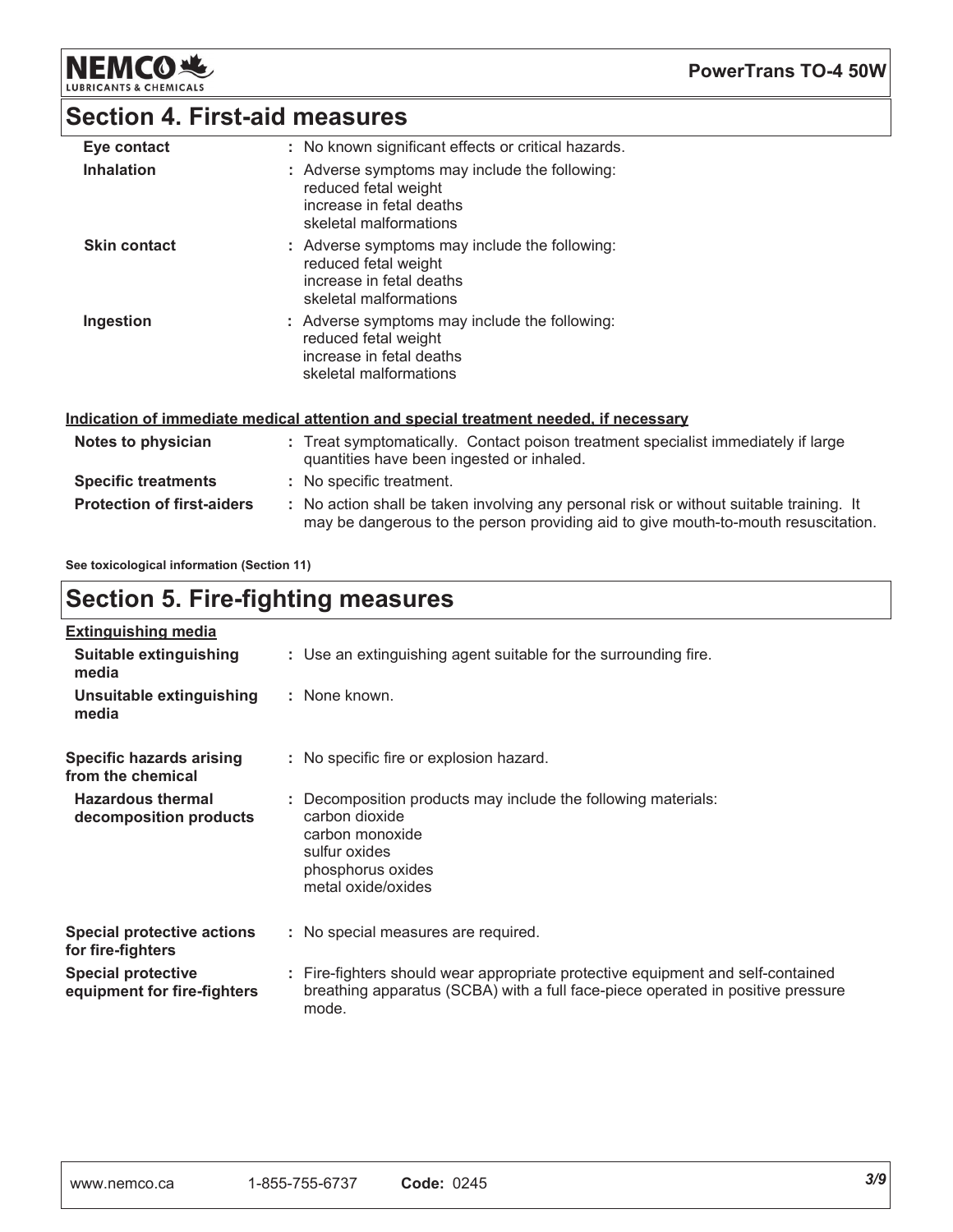**NEMCO头** LUBRIC

**PowerTrans TO-4 50W** 

### **Section 4. First-aid measures**

| Eye contact         | : No known significant effects or critical hazards.                                                                         |
|---------------------|-----------------------------------------------------------------------------------------------------------------------------|
| <b>Inhalation</b>   | : Adverse symptoms may include the following:<br>reduced fetal weight<br>increase in fetal deaths<br>skeletal malformations |
| <b>Skin contact</b> | : Adverse symptoms may include the following:<br>reduced fetal weight<br>increase in fetal deaths<br>skeletal malformations |
| Ingestion           | : Adverse symptoms may include the following:<br>reduced fetal weight<br>increase in fetal deaths<br>skeletal malformations |

#### Indication of immediate medical attention and special treatment needed, if necessary

| Notes to physician                | : Treat symptomatically. Contact poison treatment specialist immediately if large<br>quantities have been ingested or inhaled.                                               |
|-----------------------------------|------------------------------------------------------------------------------------------------------------------------------------------------------------------------------|
| <b>Specific treatments</b>        | : No specific treatment.                                                                                                                                                     |
| <b>Protection of first-aiders</b> | : No action shall be taken involving any personal risk or without suitable training. It<br>may be dangerous to the person providing aid to give mouth-to-mouth resuscitation |

See toxicological information (Section 11)

# **Section 5. Fire-fighting measures**

| <b>Extinguishing media</b>                               |                                                                                                                                                                             |
|----------------------------------------------------------|-----------------------------------------------------------------------------------------------------------------------------------------------------------------------------|
| Suitable extinguishing<br>media                          | : Use an extinguishing agent suitable for the surrounding fire.                                                                                                             |
| Unsuitable extinguishing<br>media                        | : None known.                                                                                                                                                               |
| <b>Specific hazards arising</b><br>from the chemical     | : No specific fire or explosion hazard.                                                                                                                                     |
| <b>Hazardous thermal</b><br>decomposition products       | : Decomposition products may include the following materials:<br>carbon dioxide<br>carbon monoxide<br>sulfur oxides<br>phosphorus oxides<br>metal oxide/oxides              |
| <b>Special protective actions</b><br>for fire-fighters   | : No special measures are required.                                                                                                                                         |
| <b>Special protective</b><br>equipment for fire-fighters | : Fire-fighters should wear appropriate protective equipment and self-contained<br>breathing apparatus (SCBA) with a full face-piece operated in positive pressure<br>mode. |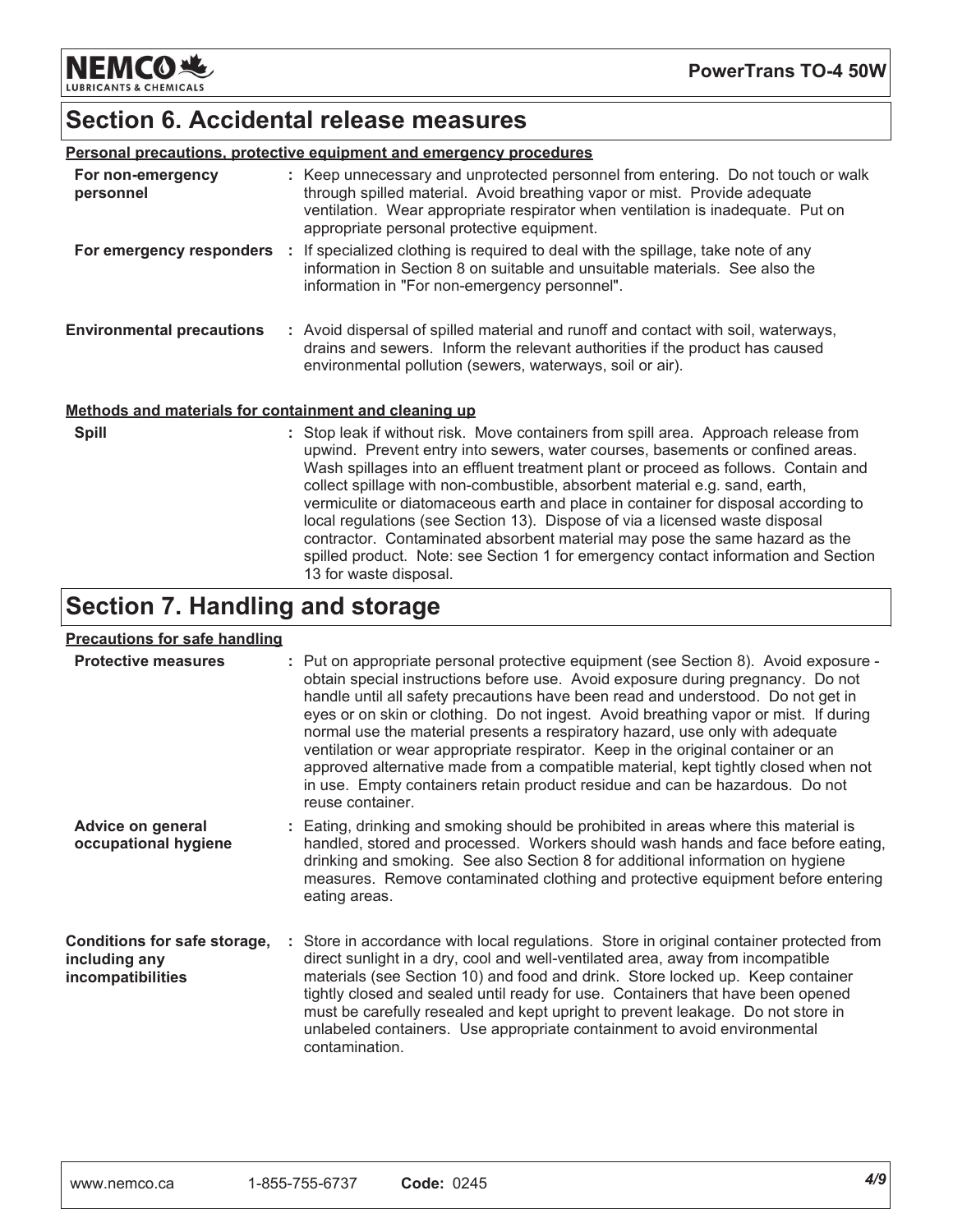**NEMCO头 LUBRICANTS & CHEMICALS** 

### **Section 6. Accidental release measures**

|                                                       | Personal precautions, protective equipment and emergency procedures                                                                                                                                                                                                                                                                                                                                                                                                                                              |
|-------------------------------------------------------|------------------------------------------------------------------------------------------------------------------------------------------------------------------------------------------------------------------------------------------------------------------------------------------------------------------------------------------------------------------------------------------------------------------------------------------------------------------------------------------------------------------|
| For non-emergency<br>personnel                        | : Keep unnecessary and unprotected personnel from entering. Do not touch or walk<br>through spilled material. Avoid breathing vapor or mist. Provide adequate<br>ventilation. Wear appropriate respirator when ventilation is inadequate. Put on<br>appropriate personal protective equipment.                                                                                                                                                                                                                   |
| For emergency responders :                            | If specialized clothing is required to deal with the spillage, take note of any<br>information in Section 8 on suitable and unsuitable materials. See also the<br>information in "For non-emergency personnel".                                                                                                                                                                                                                                                                                                  |
| <b>Environmental precautions</b>                      | : Avoid dispersal of spilled material and runoff and contact with soil, waterways,<br>drains and sewers. Inform the relevant authorities if the product has caused<br>environmental pollution (sewers, waterways, soil or air).                                                                                                                                                                                                                                                                                  |
| Methods and materials for containment and cleaning up |                                                                                                                                                                                                                                                                                                                                                                                                                                                                                                                  |
| <b>Spill</b>                                          | : Stop leak if without risk. Move containers from spill area. Approach release from<br>upwind. Prevent entry into sewers, water courses, basements or confined areas.<br>Wash spillages into an effluent treatment plant or proceed as follows. Contain and<br>collect spillage with non-combustible, absorbent material e.g. sand, earth,<br>vermiculite or diatomaceous earth and place in container for disposal according to<br>local regulations (see Section 13). Dispose of via a licensed waste disposal |

contractor. Contaminated absorbent material may pose the same hazard as the spilled product. Note: see Section 1 for emergency contact information and Section

# **Section 7. Handling and storage**

13 for waste disposal.

#### **Precautions for safe handling**

| <b>Protective measures</b>                                         | : Put on appropriate personal protective equipment (see Section 8). Avoid exposure -<br>obtain special instructions before use. Avoid exposure during pregnancy. Do not<br>handle until all safety precautions have been read and understood. Do not get in<br>eyes or on skin or clothing. Do not ingest. Avoid breathing vapor or mist. If during<br>normal use the material presents a respiratory hazard, use only with adequate<br>ventilation or wear appropriate respirator. Keep in the original container or an<br>approved alternative made from a compatible material, kept tightly closed when not<br>in use. Empty containers retain product residue and can be hazardous. Do not<br>reuse container. |
|--------------------------------------------------------------------|--------------------------------------------------------------------------------------------------------------------------------------------------------------------------------------------------------------------------------------------------------------------------------------------------------------------------------------------------------------------------------------------------------------------------------------------------------------------------------------------------------------------------------------------------------------------------------------------------------------------------------------------------------------------------------------------------------------------|
| Advice on general<br>occupational hygiene                          | : Eating, drinking and smoking should be prohibited in areas where this material is<br>handled, stored and processed. Workers should wash hands and face before eating,<br>drinking and smoking. See also Section 8 for additional information on hygiene<br>measures. Remove contaminated clothing and protective equipment before entering<br>eating areas.                                                                                                                                                                                                                                                                                                                                                      |
| Conditions for safe storage,<br>including any<br>incompatibilities | : Store in accordance with local regulations. Store in original container protected from<br>direct sunlight in a dry, cool and well-ventilated area, away from incompatible<br>materials (see Section 10) and food and drink. Store locked up. Keep container<br>tightly closed and sealed until ready for use. Containers that have been opened<br>must be carefully resealed and kept upright to prevent leakage. Do not store in<br>unlabeled containers. Use appropriate containment to avoid environmental<br>contamination.                                                                                                                                                                                  |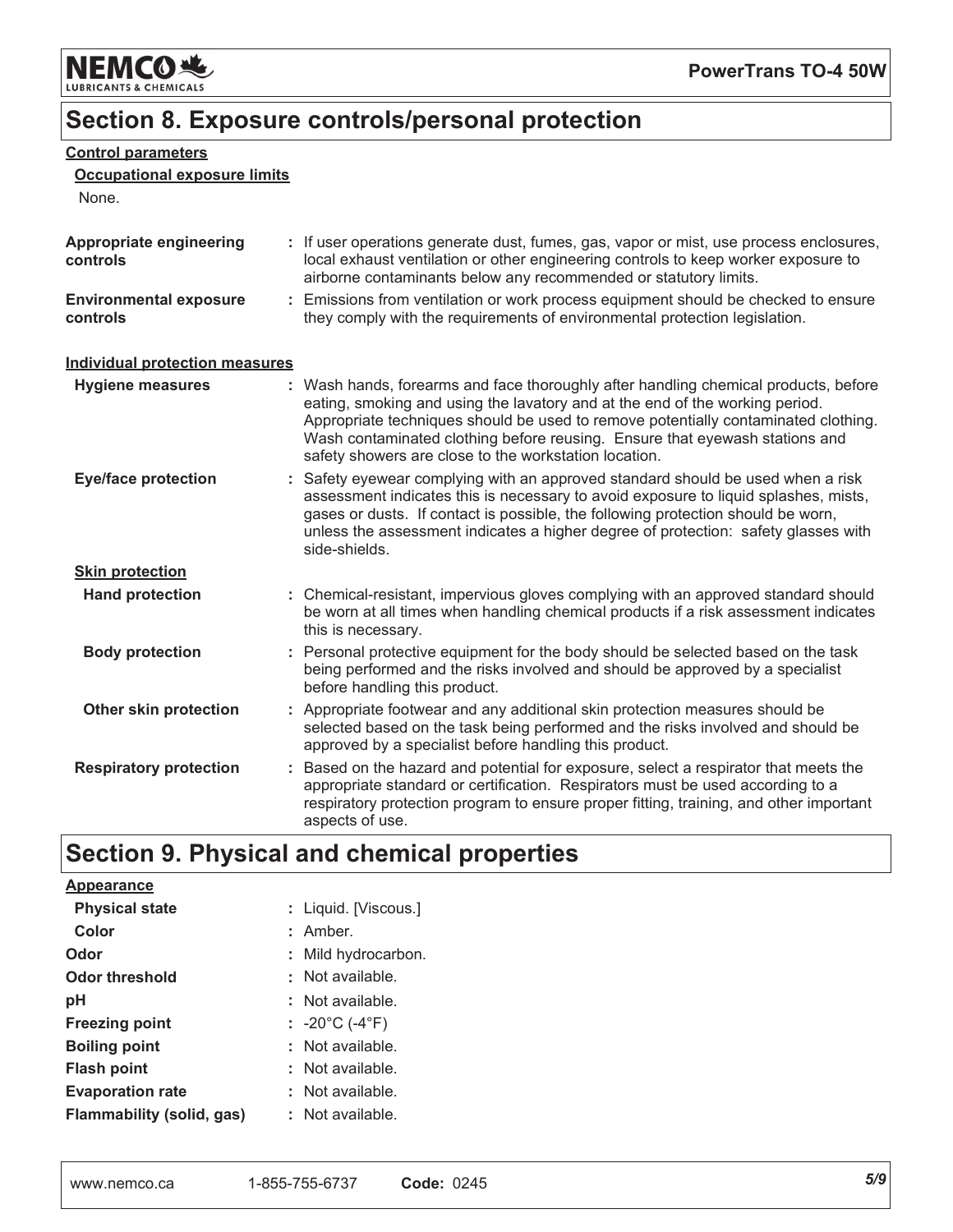

# Section 8. Exposure controls/personal protection

#### **Control parameters**

#### **Occupational exposure limits**

None.

| <b>Appropriate engineering</b><br>controls | : If user operations generate dust, fumes, gas, vapor or mist, use process enclosures,<br>local exhaust ventilation or other engineering controls to keep worker exposure to<br>airborne contaminants below any recommended or statutory limits.                                                                                                                                                  |
|--------------------------------------------|---------------------------------------------------------------------------------------------------------------------------------------------------------------------------------------------------------------------------------------------------------------------------------------------------------------------------------------------------------------------------------------------------|
| <b>Environmental exposure</b><br>controls  | : Emissions from ventilation or work process equipment should be checked to ensure<br>they comply with the requirements of environmental protection legislation.                                                                                                                                                                                                                                  |
| <b>Individual protection measures</b>      |                                                                                                                                                                                                                                                                                                                                                                                                   |
| <b>Hygiene measures</b>                    | : Wash hands, forearms and face thoroughly after handling chemical products, before<br>eating, smoking and using the lavatory and at the end of the working period.<br>Appropriate techniques should be used to remove potentially contaminated clothing.<br>Wash contaminated clothing before reusing. Ensure that eyewash stations and<br>safety showers are close to the workstation location. |
| <b>Eye/face protection</b>                 | : Safety eyewear complying with an approved standard should be used when a risk<br>assessment indicates this is necessary to avoid exposure to liquid splashes, mists,<br>gases or dusts. If contact is possible, the following protection should be worn,<br>unless the assessment indicates a higher degree of protection: safety glasses with<br>side-shields.                                 |
| <b>Skin protection</b>                     |                                                                                                                                                                                                                                                                                                                                                                                                   |
| <b>Hand protection</b>                     | : Chemical-resistant, impervious gloves complying with an approved standard should<br>be worn at all times when handling chemical products if a risk assessment indicates<br>this is necessary.                                                                                                                                                                                                   |
| <b>Body protection</b>                     | : Personal protective equipment for the body should be selected based on the task<br>being performed and the risks involved and should be approved by a specialist<br>before handling this product.                                                                                                                                                                                               |
| <b>Other skin protection</b>               | : Appropriate footwear and any additional skin protection measures should be<br>selected based on the task being performed and the risks involved and should be<br>approved by a specialist before handling this product.                                                                                                                                                                         |
| <b>Respiratory protection</b>              | Based on the hazard and potential for exposure, select a respirator that meets the<br>appropriate standard or certification. Respirators must be used according to a<br>respiratory protection program to ensure proper fitting, training, and other important<br>aspects of use.                                                                                                                 |

# Section 9. Physical and chemical properties

| <b>Appearance</b>         |                                     |
|---------------------------|-------------------------------------|
| <b>Physical state</b>     | : Liquid. [Viscous.]                |
| Color                     | : Amber.                            |
| Odor                      | : Mild hydrocarbon.                 |
| <b>Odor threshold</b>     | : Not available.                    |
| рH                        | : Not available.                    |
| <b>Freezing point</b>     | : $-20^{\circ}$ C (-4 $^{\circ}$ F) |
| <b>Boiling point</b>      | : Not available.                    |
| <b>Flash point</b>        | : Not available.                    |
| <b>Evaporation rate</b>   | : Not available.                    |
| Flammability (solid, gas) | : Not available.                    |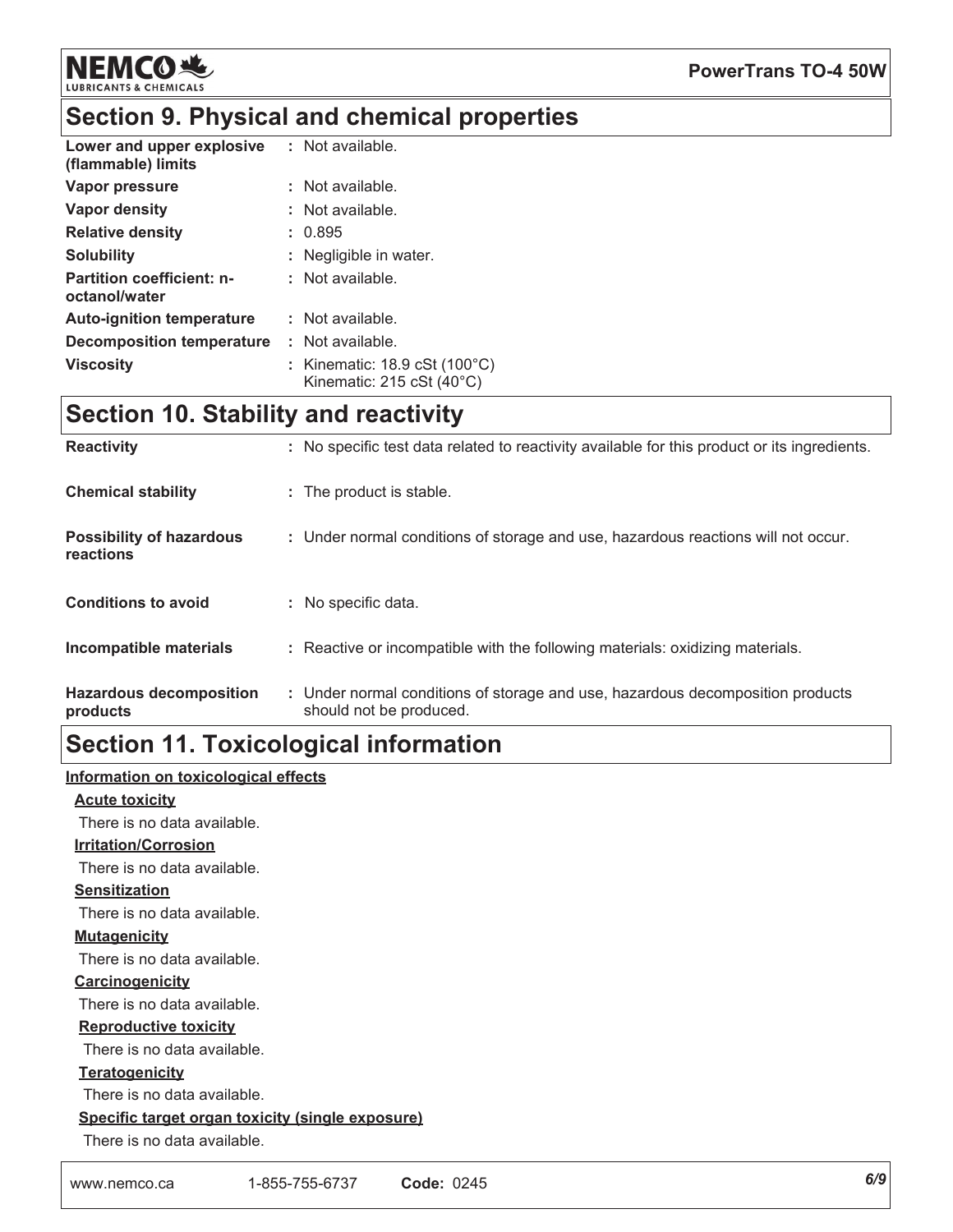

#### **PowerTrans TO-4 50W**

# Section 9. Physical and chemical properties

| Lower and upper explosive<br>(flammable) limits   | : Not available.                                                                               |
|---------------------------------------------------|------------------------------------------------------------------------------------------------|
| Vapor pressure                                    | : Not available.                                                                               |
| Vapor density                                     | : Not available.                                                                               |
| <b>Relative density</b>                           | : 0.895                                                                                        |
| <b>Solubility</b>                                 | : Negligible in water.                                                                         |
| <b>Partition coefficient: n-</b><br>octanol/water | : Not available.                                                                               |
| <b>Auto-ignition temperature</b>                  | : Not available.                                                                               |
| <b>Decomposition temperature</b>                  | : Not available.                                                                               |
| <b>Viscosity</b>                                  | : Kinematic: $18.9 \text{ cSt } (100^{\circ} \text{C})$<br>Kinematic: 215 cSt $(40^{\circ}$ C) |

# **Section 10. Stability and reactivity**

| <b>Reactivity</b>                            | : No specific test data related to reactivity available for this product or its ingredients.              |
|----------------------------------------------|-----------------------------------------------------------------------------------------------------------|
| <b>Chemical stability</b>                    | : The product is stable.                                                                                  |
| <b>Possibility of hazardous</b><br>reactions | : Under normal conditions of storage and use, hazardous reactions will not occur.                         |
| <b>Conditions to avoid</b>                   | : No specific data.                                                                                       |
| Incompatible materials                       | : Reactive or incompatible with the following materials: oxidizing materials.                             |
| <b>Hazardous decomposition</b><br>products   | : Under normal conditions of storage and use, hazardous decomposition products<br>should not be produced. |

### **Section 11. Toxicological information**

#### Information on toxicological effects

#### **Acute toxicity**

There is no data available.

#### **Irritation/Corrosion**

There is no data available.

#### **Sensitization**

There is no data available.

#### **Mutagenicity**

There is no data available.

#### Carcinogenicity

There is no data available.

#### **Reproductive toxicity**

There is no data available.

#### **Teratogenicity**

There is no data available.

#### Specific target organ toxicity (single exposure)

There is no data available.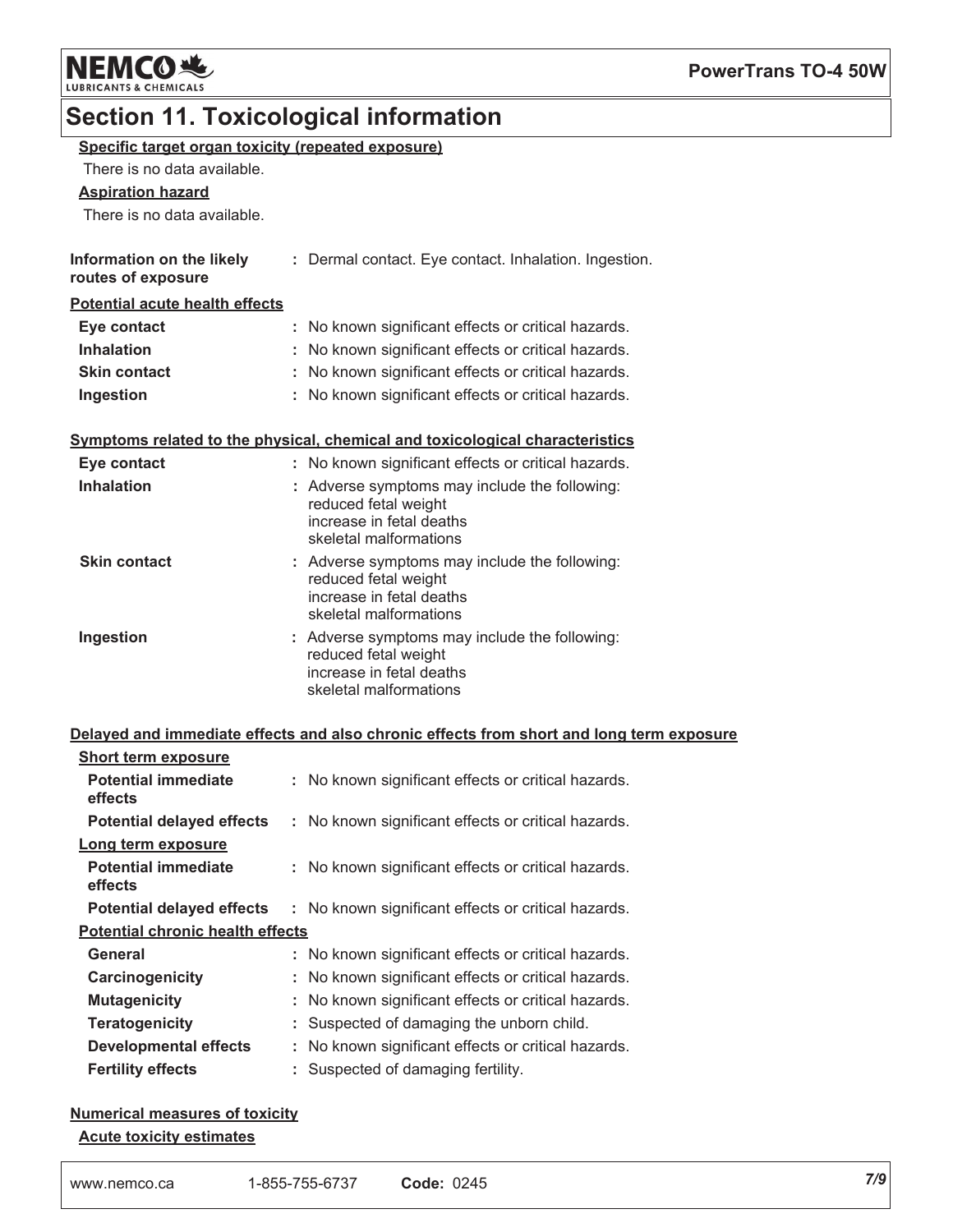

# **Section 11. Toxicological information**

Specific target organ toxicity (repeated exposure)

| There is no data available.                                         |    |                                                                                                                             |
|---------------------------------------------------------------------|----|-----------------------------------------------------------------------------------------------------------------------------|
| <b>Aspiration hazard</b>                                            |    |                                                                                                                             |
| There is no data available.                                         |    |                                                                                                                             |
| Information on the likely<br>routes of exposure                     |    | : Dermal contact. Eye contact. Inhalation. Ingestion.                                                                       |
| <b>Potential acute health effects</b>                               |    |                                                                                                                             |
| Eye contact                                                         |    | : No known significant effects or critical hazards.                                                                         |
| <b>Inhalation</b>                                                   |    | : No known significant effects or critical hazards.                                                                         |
| <b>Skin contact</b>                                                 |    | : No known significant effects or critical hazards.                                                                         |
| Ingestion                                                           |    | : No known significant effects or critical hazards.                                                                         |
|                                                                     |    | <u>Symptoms related to the physical, chemical and toxicological characteristics</u>                                         |
| Eye contact                                                         |    | : No known significant effects or critical hazards.                                                                         |
| <b>Inhalation</b>                                                   |    | : Adverse symptoms may include the following:<br>reduced fetal weight<br>increase in fetal deaths<br>skeletal malformations |
| <b>Skin contact</b>                                                 |    | : Adverse symptoms may include the following:<br>reduced fetal weight<br>increase in fetal deaths<br>skeletal malformations |
| Ingestion                                                           |    | : Adverse symptoms may include the following:<br>reduced fetal weight<br>increase in fetal deaths<br>skeletal malformations |
|                                                                     |    | Delayed and immediate effects and also chronic effects from short and long term exposure                                    |
| <b>Short term exposure</b><br><b>Potential immediate</b><br>effects |    | : No known significant effects or critical hazards.                                                                         |
| <b>Potential delayed effects</b>                                    |    | : No known significant effects or critical hazards.                                                                         |
| Long term exposure                                                  |    |                                                                                                                             |
| <b>Potential immediate</b><br>effects                               |    | : No known significant effects or critical hazards.                                                                         |
| <b>Potential delayed effects</b>                                    | t. | No known significant effects or critical hazards.                                                                           |
| <b>Potential chronic health effects</b>                             |    |                                                                                                                             |
| General                                                             |    | : No known significant effects or critical hazards.                                                                         |
| Carcinogenicity                                                     |    | No known significant effects or critical hazards.                                                                           |
| <b>Mutagenicity</b>                                                 |    | No known significant effects or critical hazards.                                                                           |
| <b>Teratogenicity</b>                                               |    | Suspected of damaging the unborn child.                                                                                     |
| <b>Developmental effects</b>                                        | ÷. | No known significant effects or critical hazards.                                                                           |

**Fertility effects** : Suspected of damaging fertility.

#### **Numerical measures of toxicity**

**Acute toxicity estimates**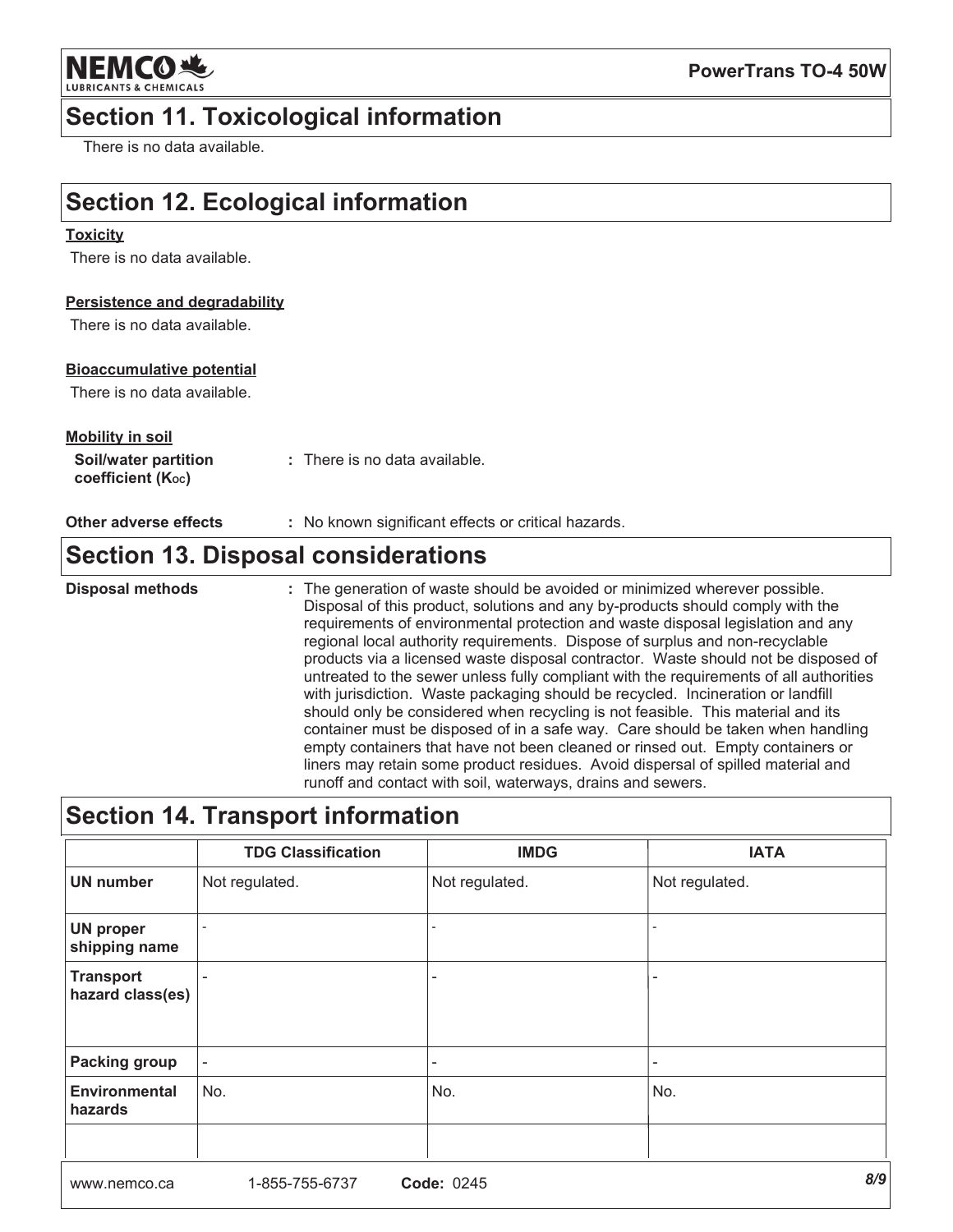NEMCO &

#### **PowerTrans TO-4 50W**

### **Section 11. Toxicological information**

There is no data available

### **Section 12. Ecological information**

#### **Toxicity**

There is no data available.

#### Persistence and degradability

There is no data available.

#### **Bioaccumulative potential**

There is no data available.

| <b>Mobility in soil</b> |  |  |
|-------------------------|--|--|
|                         |  |  |

| Soil/water partition          | : There is no data available. |
|-------------------------------|-------------------------------|
| coefficient $(K_{\text{oc}})$ |                               |

### **Section 13. Disposal considerations**

**Disposal methods** : The generation of waste should be avoided or minimized wherever possible. Disposal of this product, solutions and any by-products should comply with the requirements of environmental protection and waste disposal legislation and any regional local authority requirements. Dispose of surplus and non-recyclable products via a licensed waste disposal contractor. Waste should not be disposed of untreated to the sewer unless fully compliant with the requirements of all authorities with jurisdiction. Waste packaging should be recycled. Incineration or landfill should only be considered when recycling is not feasible. This material and its container must be disposed of in a safe way. Care should be taken when handling empty containers that have not been cleaned or rinsed out. Empty containers or liners may retain some product residues. Avoid dispersal of spilled material and runoff and contact with soil, waterways, drains and sewers.

### **Section 14. Transport information**

|                                      | <b>TDG Classification</b> | <b>IMDG</b>              | <b>IATA</b>              |
|--------------------------------------|---------------------------|--------------------------|--------------------------|
| <b>UN number</b>                     | Not regulated.            | Not regulated.           | Not regulated.           |
| <b>UN proper</b><br>shipping name    |                           |                          | $\overline{\phantom{0}}$ |
| <b>Transport</b><br>hazard class(es) |                           | $\overline{\phantom{a}}$ | $\overline{\phantom{a}}$ |
| <b>Packing group</b>                 | $\overline{\phantom{a}}$  | $\overline{\phantom{a}}$ | $\overline{\phantom{a}}$ |
| <b>Environmental</b><br>hazards      | No.                       | No.                      | No.                      |
|                                      |                           |                          |                          |